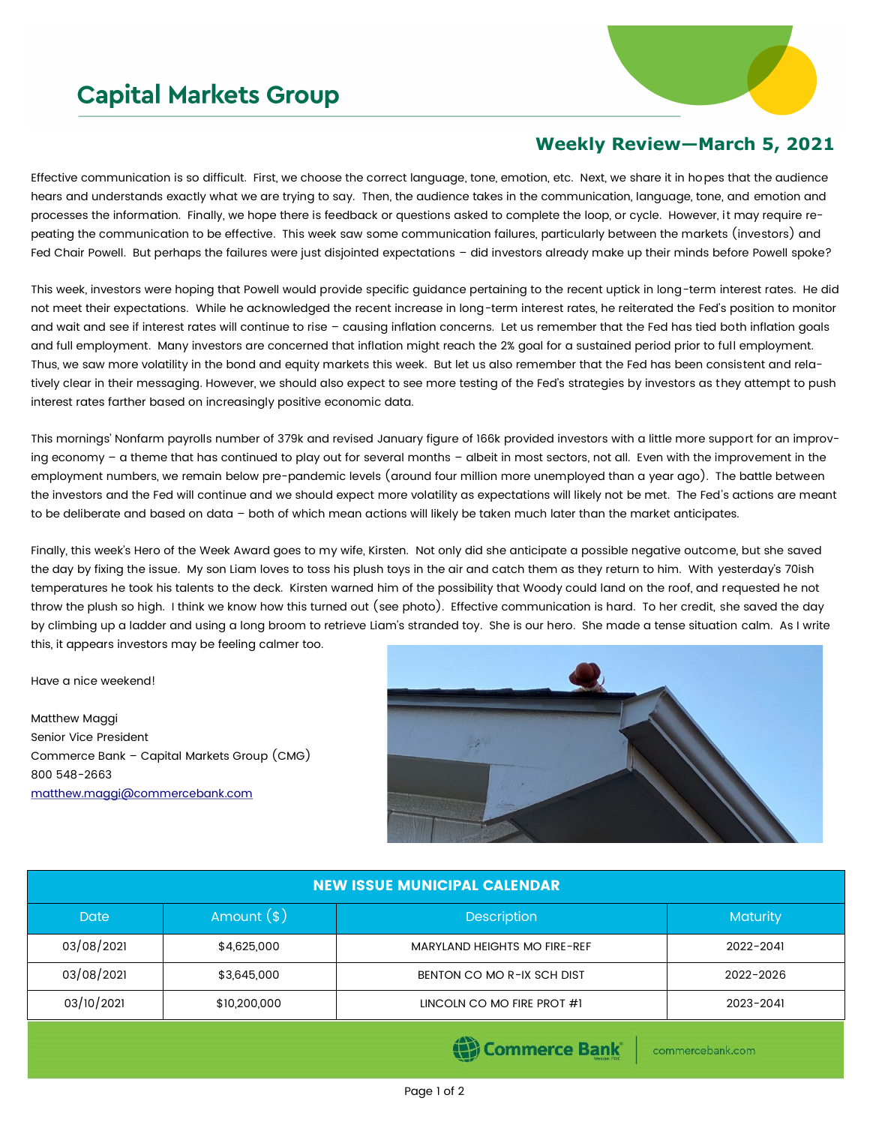## **Capital Markets Group**



## **Weekly Review—March 5, 2021**

Effective communication is so difficult. First, we choose the correct language, tone, emotion, etc. Next, we share it in hopes that the audience hears and understands exactly what we are trying to say. Then, the audience takes in the communication, language, tone, and emotion and processes the information. Finally, we hope there is feedback or questions asked to complete the loop, or cycle. However, it may require repeating the communication to be effective. This week saw some communication failures, particularly between the markets (investors) and Fed Chair Powell. But perhaps the failures were just disjointed expectations – did investors already make up their minds before Powell spoke?

This week, investors were hoping that Powell would provide specific guidance pertaining to the recent uptick in long-term interest rates. He did not meet their expectations. While he acknowledged the recent increase in long-term interest rates, he reiterated the Fed's position to monitor and wait and see if interest rates will continue to rise – causing inflation concerns. Let us remember that the Fed has tied both inflation goals and full employment. Many investors are concerned that inflation might reach the 2% goal for a sustained period prior to full employment. Thus, we saw more volatility in the bond and equity markets this week. But let us also remember that the Fed has been consistent and relatively clear in their messaging. However, we should also expect to see more testing of the Fed's strategies by investors as they attempt to push interest rates farther based on increasingly positive economic data.

This mornings' Nonfarm payrolls number of 379k and revised January figure of 166k provided investors with a little more support for an improving economy – a theme that has continued to play out for several months – albeit in most sectors, not all. Even with the improvement in the employment numbers, we remain below pre-pandemic levels (around four million more unemployed than a year ago). The battle between the investors and the Fed will continue and we should expect more volatility as expectations will likely not be met. The Fed's actions are meant to be deliberate and based on data – both of which mean actions will likely be taken much later than the market anticipates.

Finally, this week's Hero of the Week Award goes to my wife, Kirsten. Not only did she anticipate a possible negative outcome, but she saved the day by fixing the issue. My son Liam loves to toss his plush toys in the air and catch them as they return to him. With yesterday's 70ish temperatures he took his talents to the deck. Kirsten warned him of the possibility that Woody could land on the roof, and requested he not throw the plush so high. I think we know how this turned out (see photo). Effective communication is hard. To her credit, she saved the day by climbing up a ladder and using a long broom to retrieve Liam's stranded toy. She is our hero. She made a tense situation calm. As I write this, it appears investors may be feeling calmer too.

Have a nice weekend!

Matthew Maggi Senior Vice President Commerce Bank – Capital Markets Group (CMG) 800 548-2663 [matthew.maggi@commercebank.com](mailto:matthew.maggi@commercebank.com)



| <b>NEW ISSUE MUNICIPAL CALENDAR</b> |                                                    |                            |                 |  |  |  |
|-------------------------------------|----------------------------------------------------|----------------------------|-----------------|--|--|--|
| <b>Date</b>                         | Amount $(*)$                                       | <b>Description</b>         | <b>Maturity</b> |  |  |  |
| 03/08/2021                          | \$4,625,000<br><b>MARYLAND HEIGHTS MO FIRE-REF</b> |                            | 2022-2041       |  |  |  |
| 03/08/2021                          | \$3,645,000                                        | BENTON CO MO R-IX SCH DIST | 2022-2026       |  |  |  |
| 03/10/2021                          | \$10,200,000<br>LINCOLN CO MO FIRE PROT #1         |                            | 2023-2041       |  |  |  |
|                                     |                                                    |                            |                 |  |  |  |

(B) Commerce Bank

commercebank.com